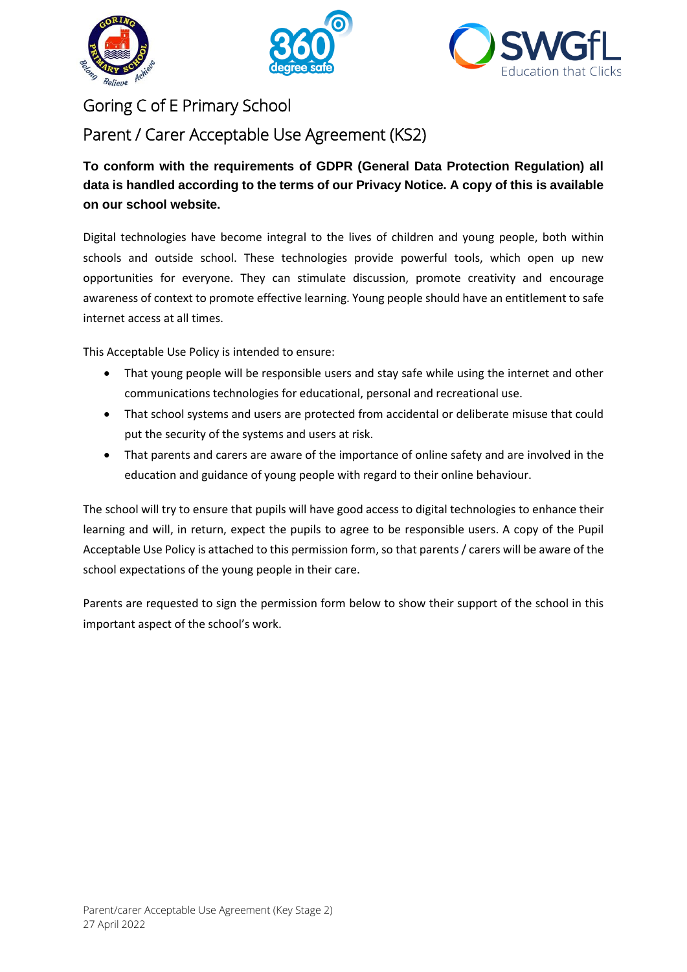





## Goring C of E Primary School

Parent / Carer Acceptable Use Agreement (KS2)

**To conform with the requirements of GDPR (General Data Protection Regulation) all data is handled according to the terms of our Privacy Notice. A copy of this is available on our school website.** 

Digital technologies have become integral to the lives of children and young people, both within schools and outside school. These technologies provide powerful tools, which open up new opportunities for everyone. They can stimulate discussion, promote creativity and encourage awareness of context to promote effective learning. Young people should have an entitlement to safe internet access at all times.

This Acceptable Use Policy is intended to ensure:

- That young people will be responsible users and stay safe while using the internet and other communications technologies for educational, personal and recreational use.
- That school systems and users are protected from accidental or deliberate misuse that could put the security of the systems and users at risk.
- That parents and carers are aware of the importance of online safety and are involved in the education and guidance of young people with regard to their online behaviour.

The school will try to ensure that pupils will have good access to digital technologies to enhance their learning and will, in return, expect the pupils to agree to be responsible users. A copy of the Pupil Acceptable Use Policy is attached to this permission form, so that parents / carers will be aware of the school expectations of the young people in their care.

Parents are requested to sign the permission form below to show their support of the school in this important aspect of the school's work.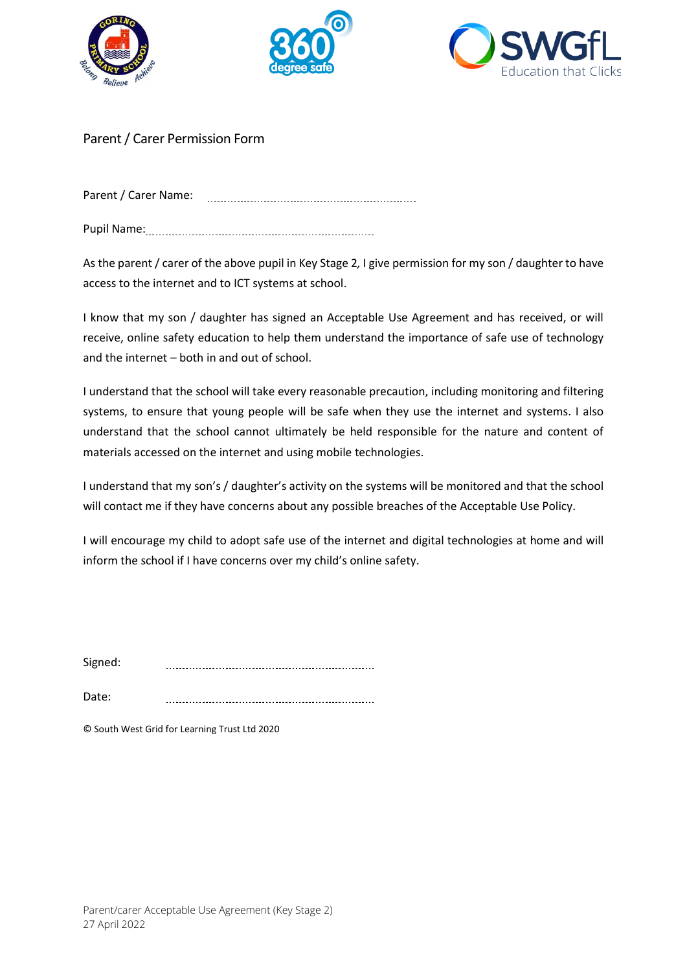





## Parent / Carer Permission Form

Parent / Carer Name: 

Pupil Name:

As the parent / carer of the above pupil in Key Stage 2*,* I give permission for my son / daughter to have access to the internet and to ICT systems at school.

I know that my son / daughter has signed an Acceptable Use Agreement and has received, or will receive, online safety education to help them understand the importance of safe use of technology and the internet – both in and out of school.

I understand that the school will take every reasonable precaution, including monitoring and filtering systems, to ensure that young people will be safe when they use the internet and systems. I also understand that the school cannot ultimately be held responsible for the nature and content of materials accessed on the internet and using mobile technologies.

I understand that my son's / daughter's activity on the systems will be monitored and that the school will contact me if they have concerns about any possible breaches of the Acceptable Use Policy.

I will encourage my child to adopt safe use of the internet and digital technologies at home and will inform the school if I have concerns over my child's online safety.

Signed: 

Date: 

© South West Grid for Learning Trust Ltd 2020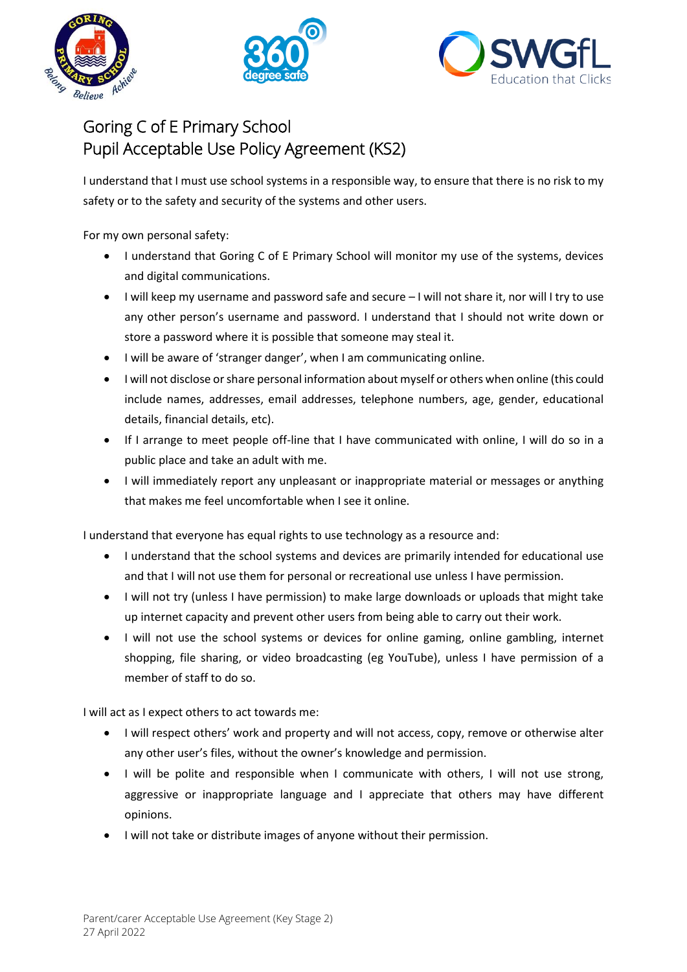





## Goring C of E Primary School Pupil Acceptable Use Policy Agreement (KS2)

I understand that I must use school systems in a responsible way, to ensure that there is no risk to my safety or to the safety and security of the systems and other users.

For my own personal safety:

- I understand that Goring C of E Primary School will monitor my use of the systems, devices and digital communications.
- I will keep my username and password safe and secure I will not share it, nor will I try to use any other person's username and password. I understand that I should not write down or store a password where it is possible that someone may steal it.
- I will be aware of 'stranger danger', when I am communicating online.
- I will not disclose or share personal information about myself or others when online (this could include names, addresses, email addresses, telephone numbers, age, gender, educational details, financial details, etc).
- If I arrange to meet people off-line that I have communicated with online, I will do so in a public place and take an adult with me.
- I will immediately report any unpleasant or inappropriate material or messages or anything that makes me feel uncomfortable when I see it online.

I understand that everyone has equal rights to use technology as a resource and:

- I understand that the school systems and devices are primarily intended for educational use and that I will not use them for personal or recreational use unless I have permission.
- I will not try (unless I have permission) to make large downloads or uploads that might take up internet capacity and prevent other users from being able to carry out their work.
- I will not use the school systems or devices for online gaming, online gambling, internet shopping, file sharing, or video broadcasting (eg YouTube), unless I have permission of a member of staff to do so.

I will act as I expect others to act towards me:

- I will respect others' work and property and will not access, copy, remove or otherwise alter any other user's files, without the owner's knowledge and permission.
- I will be polite and responsible when I communicate with others, I will not use strong, aggressive or inappropriate language and I appreciate that others may have different opinions.
- I will not take or distribute images of anyone without their permission.